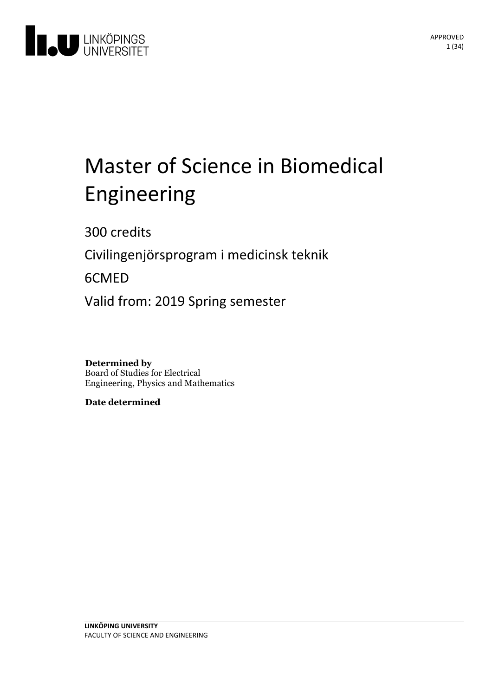

# Master of Science in Biomedical Engineering

300 credits

Civilingenjörsprogram i medicinsk teknik

6CMED

Valid from: 2019 Spring semester

**Determined by** Board of Studies for Electrical Engineering, Physics and Mathematics

**Date determined**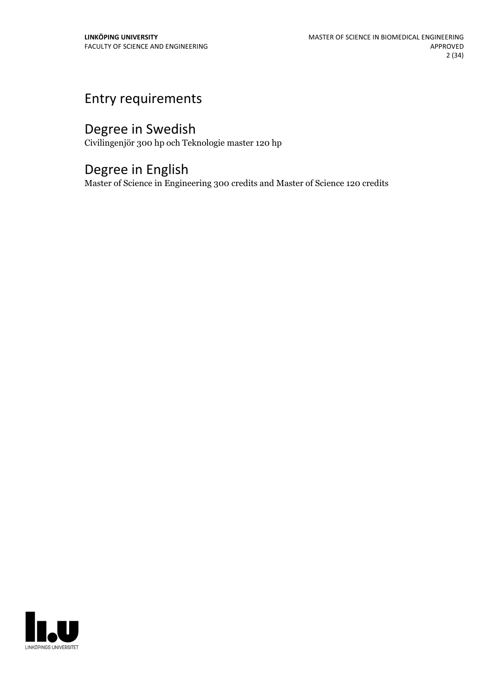## Entry requirements

## Degree in Swedish

Civilingenjör 300 hp och Teknologie master 120 hp

## Degree in English

Master of Science in Engineering 300 credits and Master of Science 120 credits

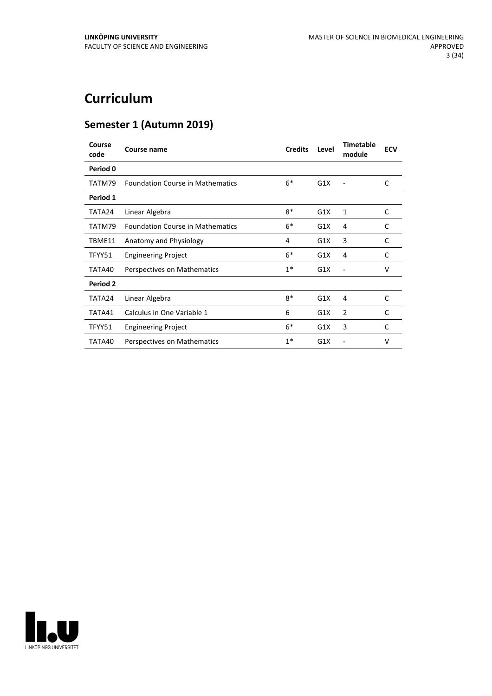## **Curriculum**

## **Semester 1 (Autumn 2019)**

| Course<br>code | Course name                             | <b>Credits</b> | Level | <b>Timetable</b><br>module | <b>ECV</b> |
|----------------|-----------------------------------------|----------------|-------|----------------------------|------------|
| Period 0       |                                         |                |       |                            |            |
| TATM79         | <b>Foundation Course in Mathematics</b> | $6*$           | G1X   |                            | C          |
| Period 1       |                                         |                |       |                            |            |
| TATA24         | Linear Algebra                          | $8*$           | G1X   | 1                          | C          |
| TATM79         | <b>Foundation Course in Mathematics</b> | $6*$           | G1X   | 4                          | C          |
| TBME11         | Anatomy and Physiology                  | 4              | G1X   | 3                          | C          |
| TFYY51         | <b>Engineering Project</b>              | $6*$           | G1X   | 4                          | C          |
| TATA40         | Perspectives on Mathematics             | $1*$           | G1X   | ٠                          | v          |
| Period 2       |                                         |                |       |                            |            |
| TATA24         | Linear Algebra                          | $8*$           | G1X   | 4                          | C          |
| TATA41         | Calculus in One Variable 1              | 6              | G1X   | 2                          | C          |
| TFYY51         | <b>Engineering Project</b>              | $6*$           | G1X   | 3                          | C          |
| TATA40         | Perspectives on Mathematics             | $1*$           | G1X   |                            | v          |

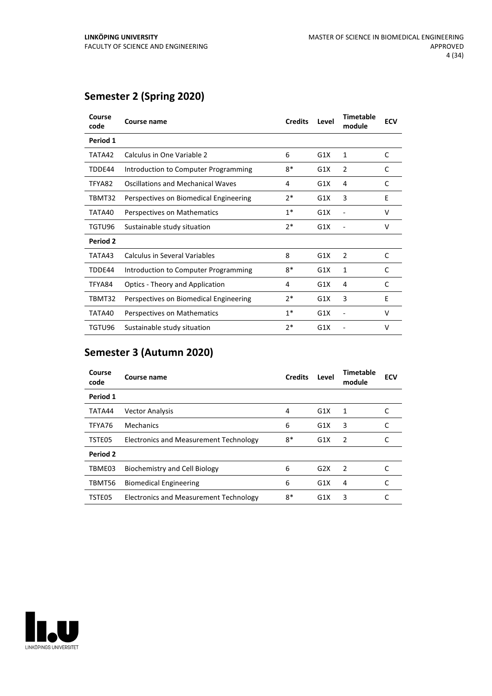## **Semester 2 (Spring 2020)**

| Course<br>code | Course name                            | <b>Credits</b> | Level | <b>Timetable</b><br>module | <b>ECV</b> |
|----------------|----------------------------------------|----------------|-------|----------------------------|------------|
| Period 1       |                                        |                |       |                            |            |
| TATA42         | Calculus in One Variable 2             | 6              | G1X   | 1                          | C          |
| TDDE44         | Introduction to Computer Programming   | 8*             | G1X   | 2                          | C          |
| TFYA82         | Oscillations and Mechanical Waves      | 4              | G1X   | 4                          | C          |
| TBMT32         | Perspectives on Biomedical Engineering | 2*             | G1X   | 3                          | E          |
| TATA40         | Perspectives on Mathematics            | $1*$           | G1X   |                            | V          |
| TGTU96         | Sustainable study situation            | 2*             | G1X   |                            | v          |
| Period 2       |                                        |                |       |                            |            |
| TATA43         | Calculus in Several Variables          | 8              | G1X   | 2                          | C          |
| TDDE44         | Introduction to Computer Programming   | 8*             | G1X   | 1                          | C          |
| TFYA84         | <b>Optics - Theory and Application</b> | 4              | G1X   | 4                          | C          |
| TBMT32         | Perspectives on Biomedical Engineering | 2*             | G1X   | 3                          | E          |
| TATA40         | Perspectives on Mathematics            | $1*$           | G1X   |                            | v          |
| TGTU96         | Sustainable study situation            | 2*             | G1X   |                            | v          |

## **Semester 3 (Autumn 2020)**

| Course<br>code | Course name                                   | <b>Credits</b> | Level | <b>Timetable</b><br>module | <b>ECV</b> |
|----------------|-----------------------------------------------|----------------|-------|----------------------------|------------|
| Period 1       |                                               |                |       |                            |            |
| TATA44         | <b>Vector Analysis</b>                        | 4              | G1X   | 1                          |            |
| TFYA76         | Mechanics                                     | 6              | G1X   | 3                          |            |
| TSTE05         | <b>Electronics and Measurement Technology</b> | 8*             | G1X   | 2                          |            |
| Period 2       |                                               |                |       |                            |            |
| TBME03         | Biochemistry and Cell Biology                 | 6              | G2X   | $\mathcal{P}$              |            |
| TBMT56         | <b>Biomedical Engineering</b>                 | 6              | G1X   | 4                          |            |
| TSTE05         | Electronics and Measurement Technology        | 8*             | G1X   | 3                          |            |

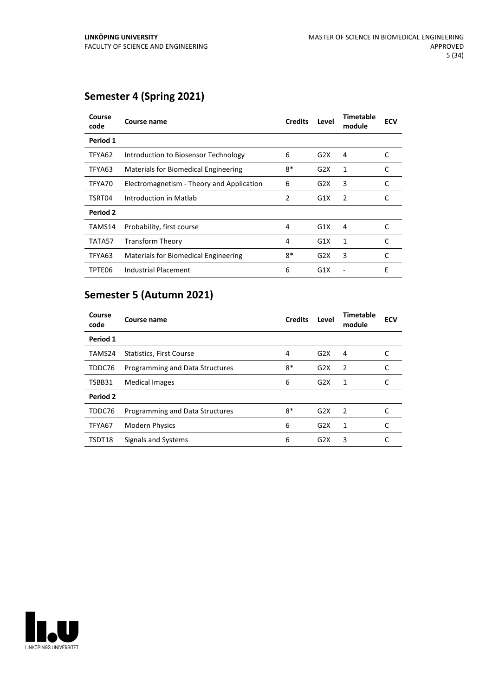## **Semester 4 (Spring 2021)**

| Course<br>code | Course name                               | <b>Credits</b> | Level | Timetable<br>module | <b>ECV</b> |
|----------------|-------------------------------------------|----------------|-------|---------------------|------------|
| Period 1       |                                           |                |       |                     |            |
| TFYA62         | Introduction to Biosensor Technology      | 6              | G2X   | 4                   | C          |
| TFYA63         | Materials for Biomedical Engineering      | $8*$           | G2X   | 1                   | C          |
| TFYA70         | Electromagnetism - Theory and Application | 6              | G2X   | 3                   | C          |
| TSRT04         | Introduction in Matlab                    | 2              | G1X   | 2                   | C          |
| Period 2       |                                           |                |       |                     |            |
| TAMS14         | Probability, first course                 | 4              | G1X   | 4                   | C          |
| TATA57         | <b>Transform Theory</b>                   | 4              | G1X   | 1                   | C          |
| TFYA63         | Materials for Biomedical Engineering      | $8*$           | G2X   | 3                   | C          |
| TPTE06         | Industrial Placement                      | 6              | G1X   |                     | E          |

## **Semester 5 (Autumn 2021)**

| Course<br>code | Course name                     | <b>Credits</b> | Level | <b>Timetable</b><br>module | <b>ECV</b> |
|----------------|---------------------------------|----------------|-------|----------------------------|------------|
| Period 1       |                                 |                |       |                            |            |
| TAMS24         | <b>Statistics, First Course</b> | 4              | G2X   | 4                          |            |
| TDDC76         | Programming and Data Structures | $8*$           | G2X   | 2                          |            |
| TSBB31         | <b>Medical Images</b>           | 6              | G2X   | 1                          | C          |
| Period 2       |                                 |                |       |                            |            |
| TDDC76         | Programming and Data Structures | $8*$           | G2X   | $\overline{2}$             |            |
| TFYA67         | <b>Modern Physics</b>           | 6              | G2X   | 1                          |            |
| TSDT18         | Signals and Systems             | 6              | G2X   | 3                          |            |

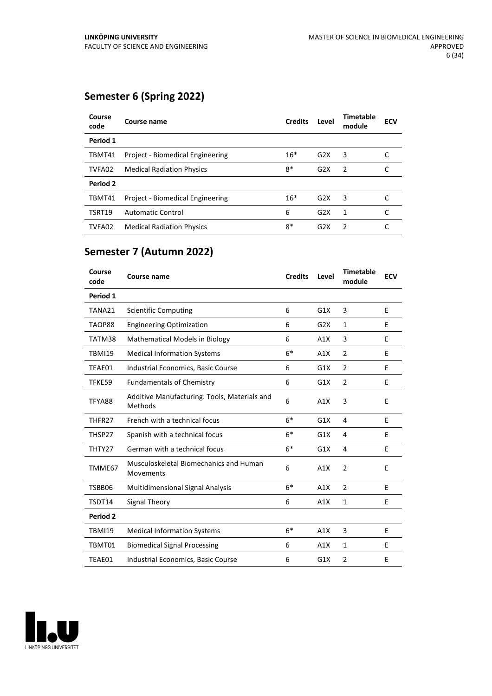## **Semester 6 (Spring 2022)**

| Course<br>code | Course name                      | <b>Credits</b> | Level            | Timetable<br>module | <b>ECV</b> |
|----------------|----------------------------------|----------------|------------------|---------------------|------------|
| Period 1       |                                  |                |                  |                     |            |
| TBMT41         | Project - Biomedical Engineering | $16*$          | G2X              | 3                   |            |
| TVFA02         | <b>Medical Radiation Physics</b> | $8*$           | G2X              | $\mathcal{P}$       |            |
| Period 2       |                                  |                |                  |                     |            |
| TBMT41         | Project - Biomedical Engineering | $16*$          | G2X              | 3                   |            |
| <b>TSRT19</b>  | <b>Automatic Control</b>         | 6              | G2X              | 1                   |            |
| TVFA02         | <b>Medical Radiation Physics</b> | $8*$           | G <sub>2</sub> X | $\mathcal{P}$       |            |

## **Semester 7 (Autumn 2022)**

| Course<br>code | <b>Course name</b>                                      | <b>Credits</b> | Level | <b>Timetable</b><br>module | <b>ECV</b> |
|----------------|---------------------------------------------------------|----------------|-------|----------------------------|------------|
| Period 1       |                                                         |                |       |                            |            |
| TANA21         | <b>Scientific Computing</b>                             | 6              | G1X   | 3                          | E          |
| TAOP88         | <b>Engineering Optimization</b>                         | 6              | G2X   | 1                          | E          |
| TATM38         | <b>Mathematical Models in Biology</b>                   | 6              | A1X   | 3                          | E          |
| <b>TBMI19</b>  | <b>Medical Information Systems</b>                      | $6*$           | A1X   | $\overline{2}$             | E          |
| TEAE01         | Industrial Economics, Basic Course                      | 6              | G1X   | $\overline{2}$             | E          |
| TFKE59         | <b>Fundamentals of Chemistry</b>                        | 6              | G1X   | $\overline{2}$             | E          |
| TFYA88         | Additive Manufacturing: Tools, Materials and<br>Methods | 6              | A1X   | 3                          | E          |
| THFR27         | French with a technical focus                           | $6*$           | G1X   | 4                          | E          |
| THSP27         | Spanish with a technical focus                          | $6*$           | G1X   | 4                          | E          |
| THTY27         | German with a technical focus                           | $6*$           | G1X   | 4                          | E          |
| TMME67         | Musculoskeletal Biomechanics and Human<br>Movements     | 6              | A1X   | $\overline{2}$             | E          |
| TSBB06         | Multidimensional Signal Analysis                        | $6*$           | A1X   | $\overline{2}$             | E          |
| TSDT14         | Signal Theory                                           | 6              | A1X   | $\mathbf{1}$               | Е          |
| Period 2       |                                                         |                |       |                            |            |
| <b>TBMI19</b>  | <b>Medical Information Systems</b>                      | $6*$           | A1X   | 3                          | E          |
| TBMT01         | <b>Biomedical Signal Processing</b>                     | 6              | A1X   | $\mathbf{1}$               | E          |
| TEAE01         | Industrial Economics, Basic Course                      | 6              | G1X   | $\overline{2}$             | E          |
|                |                                                         |                |       |                            |            |

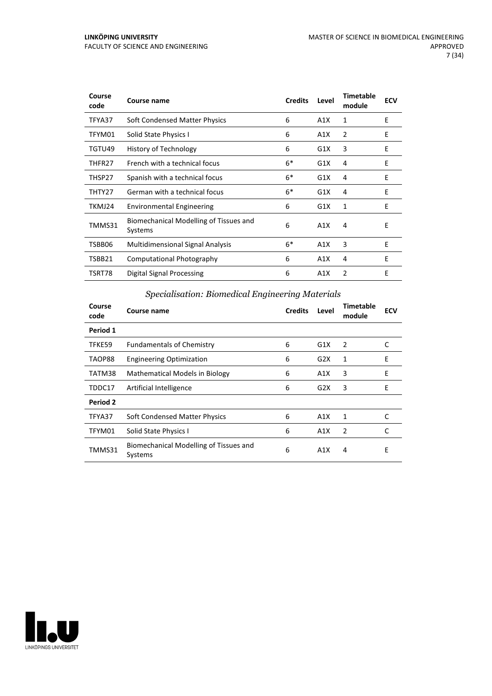| Course<br>code | Course name                                       | <b>Credits</b> | Level | <b>Timetable</b><br>module | <b>ECV</b> |
|----------------|---------------------------------------------------|----------------|-------|----------------------------|------------|
| TFYA37         | Soft Condensed Matter Physics                     | 6              | A1X   | 1                          | E          |
| TFYM01         | Solid State Physics I                             | 6              | A1X   | 2                          | E          |
| TGTU49         | <b>History of Technology</b>                      | 6              | G1X   | 3                          | E          |
| THFR27         | French with a technical focus                     | $6*$           | G1X   | 4                          | E          |
| THSP27         | Spanish with a technical focus                    | $6*$           | G1X   | 4                          | E          |
| THTY27         | German with a technical focus                     | $6*$           | G1X   | 4                          | E          |
| TKMJ24         | <b>Environmental Engineering</b>                  | 6              | G1X   | 1                          | E          |
| TMMS31         | Biomechanical Modelling of Tissues and<br>Systems | 6              | A1X   | 4                          | E          |
| TSBB06         | Multidimensional Signal Analysis                  | $6*$           | A1X   | 3                          | E          |
| TSBB21         | <b>Computational Photography</b>                  | 6              | A1X   | 4                          | E          |
| TSRT78         | Digital Signal Processing                         | 6              | A1X   | $\overline{2}$             | E          |

### *Specialisation: Biomedical Engineering Materials*

| Course<br>code | Course name                                       | <b>Credits</b> | Level | Timetable<br>module | <b>ECV</b> |
|----------------|---------------------------------------------------|----------------|-------|---------------------|------------|
| Period 1       |                                                   |                |       |                     |            |
| TFKE59         | <b>Fundamentals of Chemistry</b>                  | 6              | G1X   | 2                   | C          |
| TAOP88         | <b>Engineering Optimization</b>                   | 6              | G2X   | 1                   | E          |
| TATM38         | <b>Mathematical Models in Biology</b>             | 6              | A1X   | 3                   | E          |
| TDDC17         | Artificial Intelligence                           | 6              | G2X   | 3                   | Е          |
| Period 2       |                                                   |                |       |                     |            |
| TFYA37         | Soft Condensed Matter Physics                     | 6              | A1X   | 1                   | C          |
| TFYM01         | Solid State Physics I                             | 6              | A1X   | $\overline{2}$      | C          |
| TMMS31         | Biomechanical Modelling of Tissues and<br>Systems | 6              | A1X   | 4                   | E          |

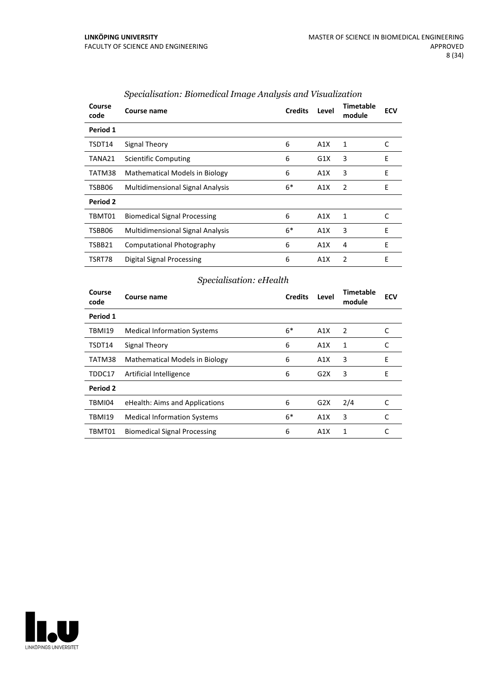| Course<br>code | Course name                             | <b>Credits</b> | Level | <b>Timetable</b><br>module | <b>ECV</b> |
|----------------|-----------------------------------------|----------------|-------|----------------------------|------------|
| Period 1       |                                         |                |       |                            |            |
| TSDT14         | Signal Theory                           | 6              | A1X   | 1                          | C          |
| TANA21         | <b>Scientific Computing</b>             | 6              | G1X   | 3                          | E          |
| TATM38         | <b>Mathematical Models in Biology</b>   | 6              | A1X   | 3                          | E          |
| TSBB06         | <b>Multidimensional Signal Analysis</b> | $6*$           | A1X   | 2                          | E          |
| Period 2       |                                         |                |       |                            |            |
| TBMT01         | <b>Biomedical Signal Processing</b>     | 6              | A1X   | 1                          | C          |
| TSBB06         | <b>Multidimensional Signal Analysis</b> | $6*$           | A1X   | 3                          | E          |
| TSBB21         | Computational Photography               | 6              | A1X   | 4                          | E          |
| TSRT78         | Digital Signal Processing               | 6              | A1X   | 2                          | E          |

#### *Specialisation: Biomedical Image Analysis and Visualization*

## *Specialisation: eHealth*

| Course<br>code | Course name                           | <b>Credits</b> | Level            | Timetable<br>module | <b>ECV</b> |
|----------------|---------------------------------------|----------------|------------------|---------------------|------------|
| Period 1       |                                       |                |                  |                     |            |
| <b>TBMI19</b>  | <b>Medical Information Systems</b>    | $6*$           | A1X              | 2                   | C          |
| TSDT14         | Signal Theory                         | 6              | A1X              | 1                   | C          |
| TATM38         | <b>Mathematical Models in Biology</b> | 6              | A1X              | 3                   | E          |
| TDDC17         | Artificial Intelligence               | 6              | G2X              | 3                   | E          |
| Period 2       |                                       |                |                  |                     |            |
| TBMI04         | eHealth: Aims and Applications        | 6              | G <sub>2</sub> X | 2/4                 | C          |
| <b>TBMI19</b>  | <b>Medical Information Systems</b>    | $6*$           | A1X              | 3                   | C          |
| TBMT01         | <b>Biomedical Signal Processing</b>   | 6              | A1X              | 1                   |            |

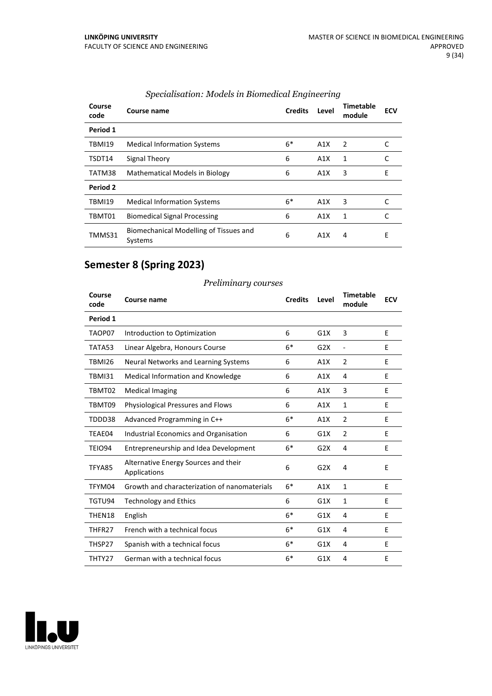| Course<br>code | Course name                                       | <b>Credits</b> | Level | Timetable<br>module | <b>ECV</b> |
|----------------|---------------------------------------------------|----------------|-------|---------------------|------------|
| Period 1       |                                                   |                |       |                     |            |
| <b>TBMI19</b>  | <b>Medical Information Systems</b>                | $6*$           | A1X   | $\overline{2}$      | C          |
| TSDT14         | Signal Theory                                     | 6              | A1X   | 1                   | C          |
| TATM38         | <b>Mathematical Models in Biology</b>             | 6              | A1X   | 3                   | E          |
| Period 2       |                                                   |                |       |                     |            |
| <b>TBMI19</b>  | <b>Medical Information Systems</b>                | $6*$           | A1X   | 3                   |            |
| TBMT01         | <b>Biomedical Signal Processing</b>               | 6              | A1X   | 1                   |            |
| TMMS31         | Biomechanical Modelling of Tissues and<br>Systems | 6              | A1X   | 4                   | Е          |

#### *Specialisation: Models in Biomedical Engineering*

## **Semester 8 (Spring 2023)**

#### **Course code Course name Credits Level Timetable module ECV Period 1** TAOP07 Introduction to Optimization 6 G1X 3 E TATA53 Linear Algebra, Honours Course 6\* G2X - E TBMI26 Neural Networks and Learning Systems 6 A1X 2 E TBMI31 Medical Information and Knowledge 6 A1X 4 E TBMT02 Medical Imaging 6 A1X 3 E TBMT09 Physiological Pressures and Flows 6 6 A1X 1 E TDDD38 Advanced Programming in C++ 6\* A1X 2 E TEAE04 Industrial Economics and Organisation 6 G1X 2 E TEIO94 Entrepreneurship and Idea Development 6\* G2X 4 E TFYA85 Alternative Energy Sourcesand their Applications 6 G2X 4 E TFYM04 Growth and characterization of nanomaterials  $6*$  A1X 1 E TGTU94 Technology and Ethics 6 G1X 1 E THEN18 English  $6*$  G1X 4 E THFR27 French with a technical focus  $6*$  G1X 4 E THSP27 Spanish with a technical focus  $6*$  G1X 4 E THTY27 German with atechnical focus 6\* G1X 4 E



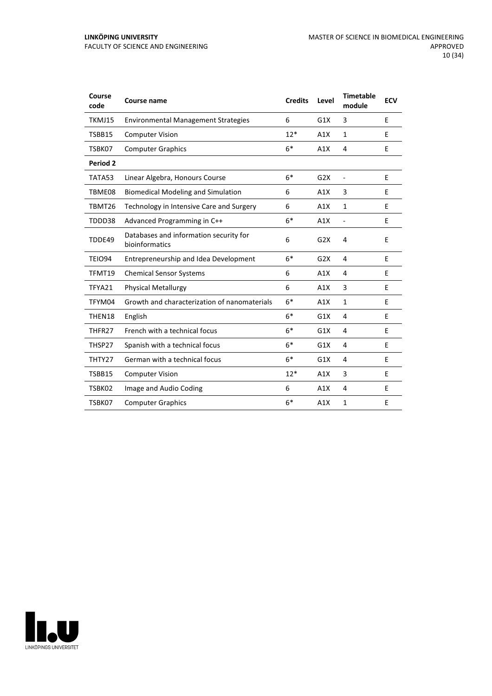| Course<br>code | <b>Course name</b>                                       | <b>Credits</b> | Level | <b>Timetable</b><br>module | <b>ECV</b> |
|----------------|----------------------------------------------------------|----------------|-------|----------------------------|------------|
| TKMJ15         | <b>Environmental Management Strategies</b>               | 6              | G1X   | 3                          | E          |
| TSBB15         | <b>Computer Vision</b>                                   | $12*$          | A1X   | $\mathbf{1}$               | E          |
| TSBK07         | <b>Computer Graphics</b>                                 | $6*$           | A1X   | 4                          | E          |
| Period 2       |                                                          |                |       |                            |            |
| TATA53         | Linear Algebra, Honours Course                           | $6*$           | G2X   | ÷,                         | E          |
| TBME08         | <b>Biomedical Modeling and Simulation</b>                | 6              | A1X   | 3                          | E          |
| TBMT26         | Technology in Intensive Care and Surgery                 | 6              | A1X   | $\mathbf{1}$               | E          |
| TDDD38         | Advanced Programming in C++                              | $6*$           | A1X   | $\overline{\phantom{a}}$   | E          |
| TDDE49         | Databases and information security for<br>bioinformatics | 6              | G2X   | 4                          | E          |
| <b>TEIO94</b>  | Entrepreneurship and Idea Development                    | $6*$           | G2X   | 4                          | E          |
| TFMT19         | <b>Chemical Sensor Systems</b>                           | 6              | A1X   | 4                          | E          |
| TFYA21         | <b>Physical Metallurgy</b>                               | 6              | A1X   | 3                          | E          |
| TFYM04         | Growth and characterization of nanomaterials             | $6*$           | A1X   | 1                          | E          |
| THEN18         | English                                                  | $6*$           | G1X   | 4                          | E          |
| THFR27         | French with a technical focus                            | $6*$           | G1X   | 4                          | E          |
| THSP27         | Spanish with a technical focus                           | $6*$           | G1X   | 4                          | E          |
| THTY27         | German with a technical focus                            | $6*$           | G1X   | 4                          | E          |
| TSBB15         | <b>Computer Vision</b>                                   | $12*$          | A1X   | 3                          | E          |
| TSBK02         | Image and Audio Coding                                   | 6              | A1X   | 4                          | E          |
| TSBK07         | <b>Computer Graphics</b>                                 | $6*$           | A1X   | 1                          | E          |

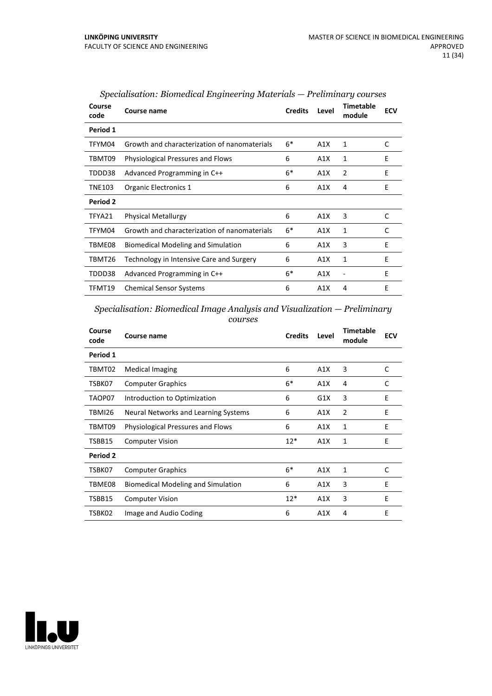| Course<br>code | Course name                                  | <b>Credits</b> | Level | <b>Timetable</b><br>module | <b>ECV</b> |
|----------------|----------------------------------------------|----------------|-------|----------------------------|------------|
| Period 1       |                                              |                |       |                            |            |
| TFYM04         | Growth and characterization of nanomaterials | $6*$           | A1X   | 1                          | C          |
| TBMT09         | <b>Physiological Pressures and Flows</b>     | 6              | A1X   | 1                          | E          |
| TDDD38         | Advanced Programming in C++                  | $6*$           | A1X   | 2                          | E          |
| <b>TNE103</b>  | Organic Electronics 1                        | 6              | A1X   | 4                          | E          |
| Period 2       |                                              |                |       |                            |            |
| TFYA21         | <b>Physical Metallurgy</b>                   | 6              | A1X   | 3                          | C          |
| TFYM04         | Growth and characterization of nanomaterials | $6*$           | A1X   | 1                          | C          |
| TBME08         | Biomedical Modeling and Simulation           | 6              | A1X   | 3                          | E          |
| TBMT26         | Technology in Intensive Care and Surgery     | 6              | A1X   | $\mathbf{1}$               | E          |
| TDDD38         | Advanced Programming in C++                  | $6*$           | A1X   |                            | E          |
| TFMT19         | <b>Chemical Sensor Systems</b>               | 6              | A1X   | 4                          | E          |

| Specialisation: Biomedical Engineering Materials — Preliminary courses |  |
|------------------------------------------------------------------------|--|
|------------------------------------------------------------------------|--|

*Specialisation: Biomedical Image Analysis and Visualization — Preliminary courses*

| Course<br>code | Course name                               | <b>Credits</b> | Level | <b>Timetable</b><br>module | <b>ECV</b> |
|----------------|-------------------------------------------|----------------|-------|----------------------------|------------|
| Period 1       |                                           |                |       |                            |            |
| TBMT02         | <b>Medical Imaging</b>                    | 6              | A1X   | 3                          | C          |
| TSBK07         | <b>Computer Graphics</b>                  | $6*$           | A1X   | 4                          | C          |
| TAOP07         | Introduction to Optimization              | 6              | G1X   | 3                          | E          |
| TBMI26         | Neural Networks and Learning Systems      | 6              | A1X   | 2                          | E          |
| TBMT09         | Physiological Pressures and Flows         | 6              | A1X   | 1                          | E          |
| TSBB15         | <b>Computer Vision</b>                    | $12*$          | A1X   | 1                          | E          |
| Period 2       |                                           |                |       |                            |            |
| TSBK07         | <b>Computer Graphics</b>                  | $6*$           | A1X   | 1                          | C          |
| TBME08         | <b>Biomedical Modeling and Simulation</b> | 6              | A1X   | 3                          | E          |
| TSBB15         | <b>Computer Vision</b>                    | $12*$          | A1X   | 3                          | E          |
| TSBK02         | Image and Audio Coding                    | 6              | A1X   | 4                          | E          |

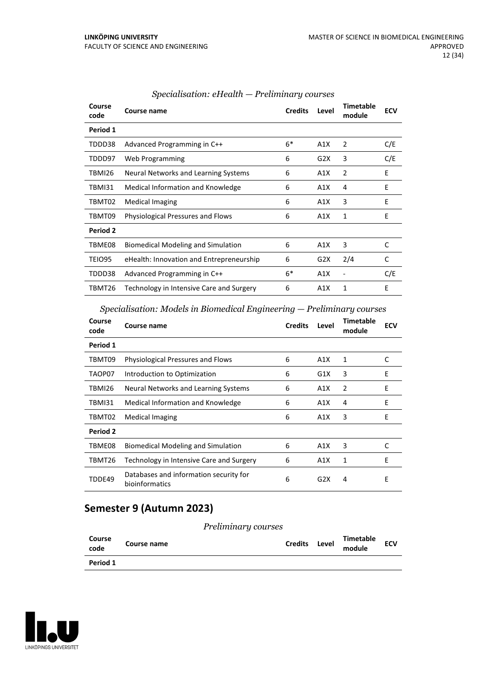| Course<br>code | Course name                               | <b>Credits</b> | Level            | <b>Timetable</b><br>module | <b>ECV</b> |
|----------------|-------------------------------------------|----------------|------------------|----------------------------|------------|
| Period 1       |                                           |                |                  |                            |            |
| TDDD38         | Advanced Programming in C++               | $6*$           | A1X              | 2                          | C/E        |
| TDDD97         | Web Programming                           | 6              | G2X              | 3                          | C/E        |
| TBMI26         | Neural Networks and Learning Systems      | 6              | A1X              | 2                          | E          |
| TBMI31         | Medical Information and Knowledge         | 6              | A1X              | 4                          | E          |
| TBMT02         | <b>Medical Imaging</b>                    | 6              | A1X              | 3                          | E          |
| TBMT09         | Physiological Pressures and Flows         | 6              | A1X              | 1                          | E          |
| Period 2       |                                           |                |                  |                            |            |
| TBME08         | <b>Biomedical Modeling and Simulation</b> | 6              | A1X              | 3                          | C          |
| TEIO95         | eHealth: Innovation and Entrepreneurship  | 6              | G <sub>2</sub> X | 2/4                        | C          |
| TDDD38         | Advanced Programming in C++               | $6*$           | A1X              | ٠                          | C/E        |
| TBMT26         | Technology in Intensive Care and Surgery  | 6              | A1X              | 1                          | E          |

#### *Specialisation: eHealth — Preliminary courses*

*Specialisation: Models in Biomedical Engineering — Preliminary courses*

| Course<br>code | Course name                                              | <b>Credits</b> | Level | Timetable<br>module | <b>ECV</b> |
|----------------|----------------------------------------------------------|----------------|-------|---------------------|------------|
| Period 1       |                                                          |                |       |                     |            |
| TBMT09         | Physiological Pressures and Flows                        | 6              | A1X   | 1                   | C          |
| TAOP07         | Introduction to Optimization                             | 6              | G1X   | 3                   | F          |
| TBMI26         | Neural Networks and Learning Systems                     | 6              | A1X   | 2                   | E          |
| TBMI31         | Medical Information and Knowledge                        | 6              | A1X   | 4                   | E          |
| TBMT02         | Medical Imaging                                          | 6              | A1X   | 3                   | E          |
| Period 2       |                                                          |                |       |                     |            |
| TBME08         | <b>Biomedical Modeling and Simulation</b>                | 6              | A1X   | 3                   | C          |
| TBMT26         | Technology in Intensive Care and Surgery                 | 6              | A1X   | 1                   | E          |
| TDDE49         | Databases and information security for<br>bioinformatics | 6              | G2X   | 4                   | Е          |

## **Semester 9 (Autumn 2023)**

#### *Preliminary courses*

| Course<br>code | Course name | <b>Credits</b> | Level | Timetable<br>module | <b>ECV</b> |  |
|----------------|-------------|----------------|-------|---------------------|------------|--|
| Period 1       |             |                |       |                     |            |  |

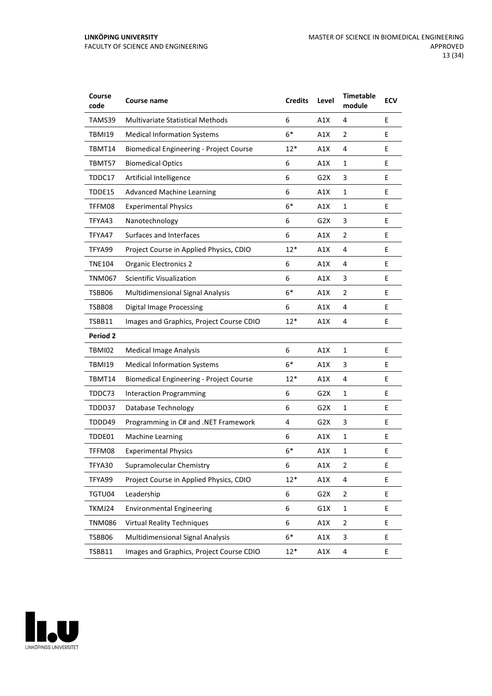| Course<br>code  | Course name                                    | <b>Credits</b> | Level            | <b>Timetable</b><br>module | <b>ECV</b> |
|-----------------|------------------------------------------------|----------------|------------------|----------------------------|------------|
| TAMS39          | <b>Multivariate Statistical Methods</b>        | 6              | A1X              | 4                          | E          |
| <b>TBMI19</b>   | <b>Medical Information Systems</b>             | $6*$           | A1X              | $\overline{2}$             | Е          |
| TBMT14          | <b>Biomedical Engineering - Project Course</b> | $12*$          | A1X              | 4                          | E          |
| TBMT57          | <b>Biomedical Optics</b>                       | 6              | A1X              | 1                          | E          |
| TDDC17          | Artificial Intelligence                        | 6              | G <sub>2</sub> X | 3                          | E          |
| TDDE15          | <b>Advanced Machine Learning</b>               | 6              | A1X              | $\mathbf{1}$               | E          |
| TFFM08          | <b>Experimental Physics</b>                    | $6*$           | A1X              | $\mathbf{1}$               | E          |
| TFYA43          | Nanotechnology                                 | 6              | G2X              | 3                          | E          |
| TFYA47          | Surfaces and Interfaces                        | 6              | A1X              | $\overline{2}$             | E          |
| TFYA99          | Project Course in Applied Physics, CDIO        | $12*$          | A1X              | 4                          | E          |
| <b>TNE104</b>   | <b>Organic Electronics 2</b>                   | 6              | A1X              | 4                          | E          |
| <b>TNM067</b>   | <b>Scientific Visualization</b>                | 6              | A1X              | 3                          | Е          |
| TSBB06          | <b>Multidimensional Signal Analysis</b>        | $6*$           | A1X              | $\overline{2}$             | E          |
| TSBB08          | <b>Digital Image Processing</b>                | 6              | A1X              | 4                          | E          |
| TSBB11          | Images and Graphics, Project Course CDIO       | $12*$          | A1X              | 4                          | E          |
| <b>Period 2</b> |                                                |                |                  |                            |            |
| TBMI02          | <b>Medical Image Analysis</b>                  | 6              | A1X              | $\mathbf{1}$               | Е          |
| <b>TBMI19</b>   | <b>Medical Information Systems</b>             | $6*$           | A1X              | 3                          | Е          |
| TBMT14          | <b>Biomedical Engineering - Project Course</b> | $12*$          | A1X              | 4                          | E          |
| TDDC73          | <b>Interaction Programming</b>                 | 6              | G <sub>2</sub> X | $\mathbf{1}$               | E          |
| TDDD37          | <b>Database Technology</b>                     | 6              | G2X              | $\mathbf{1}$               | E          |
| TDDD49          | Programming in C# and .NET Framework           | 4              | G2X              | 3                          | Е          |
| TDDE01          | <b>Machine Learning</b>                        | 6              | A1X              | 1                          | E          |
| TFFM08          | <b>Experimental Physics</b>                    | $6*$           | A1X              | 1                          | E          |
| TFYA30          | Supramolecular Chemistry                       | 6              | A1X              | 2                          | Е          |
| TFYA99          | Project Course in Applied Physics, CDIO        | $12*$          | A1X              | 4                          | E          |
| TGTU04          | Leadership                                     | 6              | G <sub>2</sub> X | $\overline{2}$             | E.         |
| TKMJ24          | <b>Environmental Engineering</b>               | 6              | G1X              | $\mathbf{1}$               | E          |
| <b>TNM086</b>   | <b>Virtual Reality Techniques</b>              | 6              | A1X              | $\overline{2}$             | E          |
| TSBB06          | Multidimensional Signal Analysis               | $6*$           | A1X              | 3                          | E          |
| TSBB11          | Images and Graphics, Project Course CDIO       | $12*$          | A1X              | 4                          | E          |

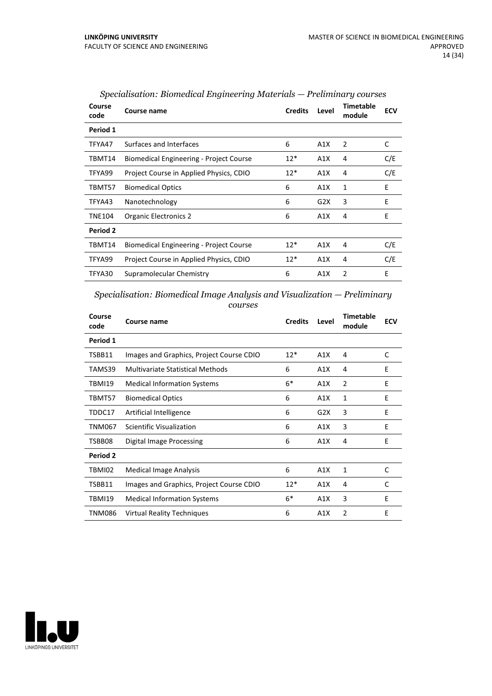| Course<br>code | Course name                                    | <b>Credits</b> | Level | <b>Timetable</b><br>module | <b>ECV</b> |
|----------------|------------------------------------------------|----------------|-------|----------------------------|------------|
| Period 1       |                                                |                |       |                            |            |
| TFYA47         | Surfaces and Interfaces                        | 6              | A1X   | 2                          | C          |
| TBMT14         | <b>Biomedical Engineering - Project Course</b> | $12*$          | A1X   | 4                          | C/E        |
| TFYA99         | Project Course in Applied Physics, CDIO        | $12*$          | A1X   | 4                          | C/E        |
| TBMT57         | <b>Biomedical Optics</b>                       | 6              | A1X   | 1                          | E          |
| TFYA43         | Nanotechnology                                 | 6              | G2X   | 3                          | E          |
| <b>TNE104</b>  | <b>Organic Electronics 2</b>                   | 6              | A1X   | 4                          | E          |
| Period 2       |                                                |                |       |                            |            |
| TBMT14         | <b>Biomedical Engineering - Project Course</b> | $12*$          | A1X   | 4                          | C/E        |
| TFYA99         | Project Course in Applied Physics, CDIO        | $12*$          | A1X   | 4                          | C/E        |
| TFYA30         | Supramolecular Chemistry                       | 6              | A1X   | 2                          | E          |

*Specialisation: Biomedical Engineering Materials — Preliminary courses*

*Specialisation: Biomedical Image Analysis and Visualization — Preliminary courses*

| Course<br>code | Course name                              | <b>Credits</b> | Level | <b>Timetable</b><br>module | <b>ECV</b> |
|----------------|------------------------------------------|----------------|-------|----------------------------|------------|
| Period 1       |                                          |                |       |                            |            |
| TSBB11         | Images and Graphics, Project Course CDIO | $12*$          | A1X   | 4                          | C          |
| TAMS39         | <b>Multivariate Statistical Methods</b>  | 6              | A1X   | 4                          | E          |
| TBMI19         | <b>Medical Information Systems</b>       | $6*$           | A1X   | $\overline{2}$             | E          |
| TBMT57         | <b>Biomedical Optics</b>                 | 6              | A1X   | 1                          | E          |
| TDDC17         | Artificial Intelligence                  | 6              | G2X   | 3                          | E          |
| TNM067         | Scientific Visualization                 | 6              | A1X   | 3                          | Е          |
| TSBB08         | Digital Image Processing                 | 6              | A1X   | 4                          | E          |
| Period 2       |                                          |                |       |                            |            |
| TBMI02         | Medical Image Analysis                   | 6              | A1X   | 1                          | C          |
| TSBB11         | Images and Graphics, Project Course CDIO | $12*$          | A1X   | 4                          | C          |
| TBMI19         | <b>Medical Information Systems</b>       | $6*$           | A1X   | 3                          | E          |
| TNM086         | <b>Virtual Reality Techniques</b>        | 6              | A1X   | $\overline{2}$             | E          |

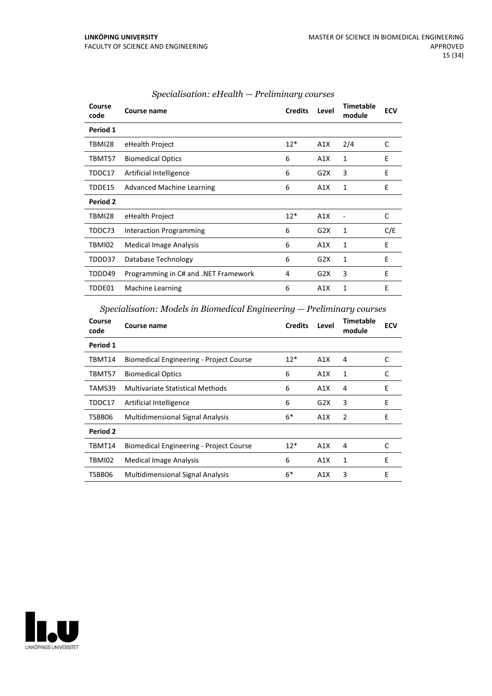| Course<br>code | Course name                          | <b>Credits</b> | Level | <b>Timetable</b><br>module | <b>ECV</b> |
|----------------|--------------------------------------|----------------|-------|----------------------------|------------|
| Period 1       |                                      |                |       |                            |            |
| TBMI28         | eHealth Project                      | $12*$          | A1X   | 2/4                        | C          |
| TBMT57         | <b>Biomedical Optics</b>             | 6              | A1X   | 1                          | E          |
| TDDC17         | Artificial Intelligence              | 6              | G2X   | 3                          | E          |
| TDDE15         | Advanced Machine Learning            | 6              | A1X   | 1                          | E          |
| Period 2       |                                      |                |       |                            |            |
| TBMI28         | eHealth Project                      | $12*$          | A1X   |                            | C          |
| TDDC73         | Interaction Programming              | 6              | G2X   | 1                          | C/E        |
| TBMI02         | Medical Image Analysis               | 6              | A1X   | 1                          | E          |
| TDDD37         | Database Technology                  | 6              | G2X   | 1                          | E          |
| TDDD49         | Programming in C# and .NET Framework | 4              | G2X   | 3                          | E          |
| TDDE01         | <b>Machine Learning</b>              | 6              | A1X   | 1                          | Е          |

#### *Specialisation: eHealth — Preliminary courses*

### *Specialisation: Models in Biomedical Engineering — Preliminary courses*

| Course<br>code  | Course name                                    | <b>Credits</b> | Level | <b>Timetable</b><br>module | <b>ECV</b> |
|-----------------|------------------------------------------------|----------------|-------|----------------------------|------------|
| Period 1        |                                                |                |       |                            |            |
| TBMT14          | <b>Biomedical Engineering - Project Course</b> | $12*$          | A1X   | 4                          | C          |
| TBMT57          | <b>Biomedical Optics</b>                       | 6              | A1X   | 1                          | C          |
| TAMS39          | Multivariate Statistical Methods               | 6              | A1X   | 4                          | F          |
| TDDC17          | Artificial Intelligence                        | 6              | G2X   | 3                          | E          |
| TSBB06          | <b>Multidimensional Signal Analysis</b>        | $6*$           | A1X   | 2                          | E          |
| <b>Period 2</b> |                                                |                |       |                            |            |
| TBMT14          | <b>Biomedical Engineering - Project Course</b> | $12*$          | A1X   | 4                          | C          |
| TBMI02          | <b>Medical Image Analysis</b>                  | 6              | A1X   | 1                          | E          |
| TSBB06          | <b>Multidimensional Signal Analysis</b>        | $6*$           | A1X   | 3                          | E          |

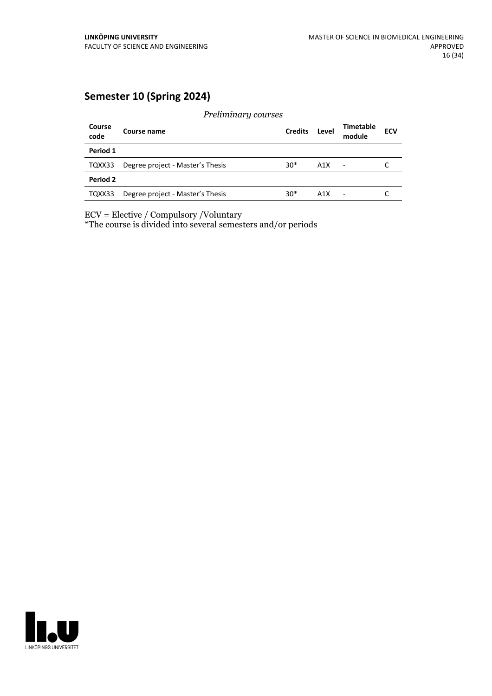## **Semester 10 (Spring 2024)**

*Preliminary courses* **Course code Course name Credits Level Timetable module ECV Period 1** TQXX33 Degree project - Master's Thesis 30\* A1X - C **Period 2** TQXX33 Degree project - Master's Thesis 30\* A1X - C

ECV = Elective / Compulsory /Voluntary

\*The course is divided into several semesters and/or periods

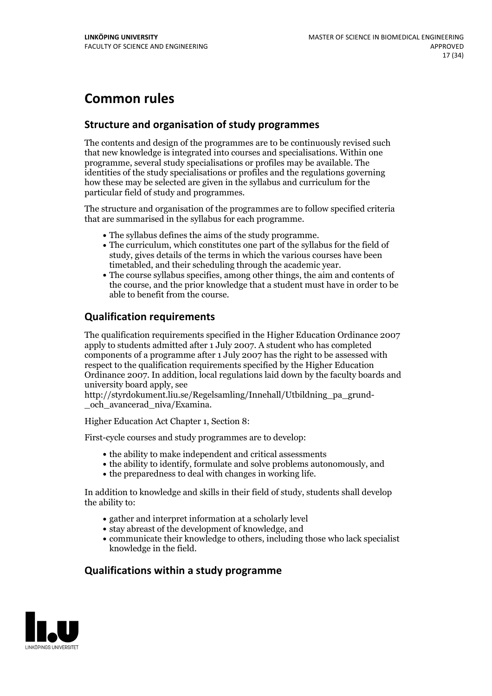## **Common rules**

### **Structure and organisation of study programmes**

The contents and design of the programmes are to be continuously revised such that new knowledge is integrated into courses and specialisations. Within one programme, several study specialisations or profiles may be available. The identities of the study specialisations or profiles and the regulations governing how these may be selected are given in the syllabus and curriculum for the particular field of study and programmes.

The structure and organisation of the programmes are to follow specified criteria that are summarised in the syllabus for each programme.

- 
- The syllabus defines the aims of the study programme.<br>• The curriculum, which constitutes one part of the syllabus for the field of study, gives details of the terms in which the various courses have been
- The course syllabus specifies, among other things, the aim and contents of the course, and the prior knowledge that a student must have in order to be able to benefit from the course.

### **Qualification requirements**

The qualification requirements specified in the Higher Education Ordinance 2007 apply to students admitted after 1 July 2007. A student who has completed components of a programme after 1 July 2007 has the right to be assessed with respect to the qualification requirements specified by the Higher Education Ordinance 2007. In addition, local regulations laid down by the faculty boards and university board apply, see

http://styrdokument.liu.se/Regelsamling/Innehall/Utbildning\_pa\_grund- \_och\_avancerad\_niva/Examina.

Higher Education Act Chapter 1, Section 8:

First-cycle courses and study programmes are to develop:

- the ability to make independent and critical assessments
- the ability to identify, formulate and solve problems autonomously, and
- $\bullet$  the preparedness to deal with changes in working life.

In addition to knowledge and skills in their field of study, students shall develop the ability to:

- gather and interpret information at a scholarly level
- stay abreast of the development of knowledge, and
- communicate their knowledge to others, including those who lack specialist knowledge in the field.

#### **Qualifications within a study programme**

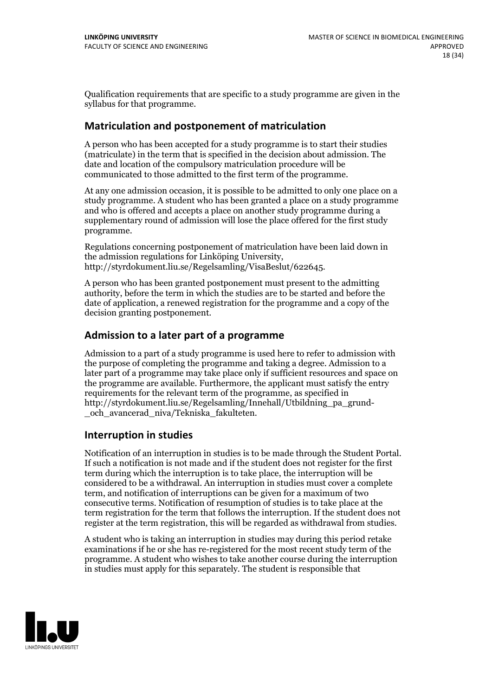Qualification requirements that are specific to a study programme are given in the syllabus for that programme.

#### **Matriculation and postponement of matriculation**

A person who has been accepted for a study programme is to start their studies (matriculate) in the term that is specified in the decision about admission. The date and location of the compulsory matriculation procedure will be communicated to those admitted to the first term of the programme.

At any one admission occasion, it is possible to be admitted to only one place on a study programme. A student who has been granted a place on a study programme and who is offered and accepts a place on another study programme during a supplementary round of admission will lose the place offered for the first study programme.

Regulations concerning postponement of matriculation have been laid down in the admission regulations for Linköping University, http://styrdokument.liu.se/Regelsamling/VisaBeslut/622645.

A person who has been granted postponement must present to the admitting authority, before the term in which the studies are to be started and before the date of application, a renewed registration for the programme and a copy of the decision granting postponement.

#### **Admission to a later part of a programme**

Admission to a part of a study programme is used here to refer to admission with the purpose of completing the programme and taking a degree. Admission to a later part of a programme may take place only if sufficient resources and space on the programme are available. Furthermore, the applicant must satisfy the entry requirements for the relevant term of the programme, as specified in http://styrdokument.liu.se/Regelsamling/Innehall/Utbildning\_pa\_grund- \_och\_avancerad\_niva/Tekniska\_fakulteten.

#### **Interruption in studies**

Notification of an interruption in studies is to be made through the Student Portal. If such <sup>a</sup> notification is not made and if the student does not register for the first term during which the interruption is to take place, the interruption will be considered to be a withdrawal. An interruption in studies must cover a complete term, and notification of interruptions can be given for a maximum of two consecutive terms. Notification of resumption of studies is to take place at the term registration for the term that follows the interruption. If the student does not register at the term registration, this will be regarded as withdrawal from studies.

A student who is taking an interruption in studies may during this period retake examinations if he or she has re-registered for the most recent study term of the programme. A student who wishes to take another course during the interruption in studies must apply for this separately. The student is responsible that

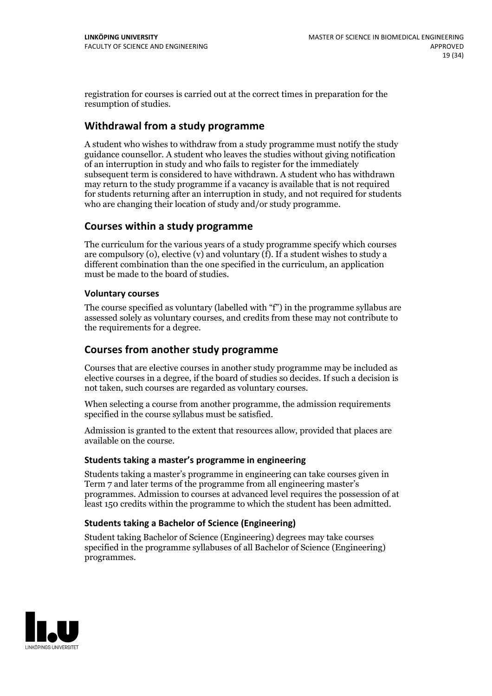registration for courses is carried outat the correct times in preparation for the resumption of studies.

### **Withdrawal from a study programme**

A student who wishes to withdraw from a study programme must notify the study guidance counsellor. A student who leaves the studies without giving notification of an interruption in study and who fails to register for the immediately subsequent term is considered to have withdrawn. A student who has withdrawn may return to the study programme if a vacancy is available that is not required for students returning after an interruption in study, and not required for students who are changing their location of study and/or study programme.

#### **Courses within a study programme**

The curriculum for the various years of a study programme specify which courses are compulsory (o), elective (v) and voluntary (f). If a student wishes to study a different combination than the one specified in the curriculum, an application must be made to the board of studies.

#### **Voluntarycourses**

The course specified as voluntary (labelled with "f") in the programme syllabus are assessed solely as voluntary courses, and credits from these may not contribute to the requirements for a degree.

#### **Courses from another study programme**

Courses that are elective courses in another study programme may be included as elective courses in a degree, if the board of studies so decides. If such a decision is not taken, such courses are regarded as voluntary courses.

When selecting a course from another programme, the admission requirements specified in the course syllabus must be satisfied.

Admission is granted to the extent that resources allow, provided that places are available on the course.

#### **Students taking a master's programme in engineering**

Students taking a master's programme in engineering can take courses given in Term 7 and later terms of the programme from all engineering master's programmes. Admission to courses at advanced level requires the possession of at least 150 credits within the programme to which the student has been admitted.

#### **Students taking a Bachelor of Science (Engineering)**

Student taking Bachelor of Science (Engineering) degrees may take courses specified in the programme syllabuses of all Bachelor of Science (Engineering) programmes.

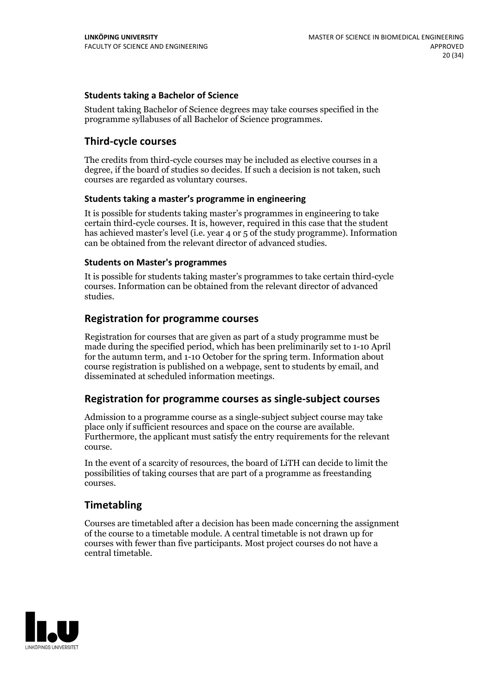#### **Students taking a Bachelor of Science**

Student taking Bachelor of Science degrees may take courses specified in the programme syllabuses of all Bachelor of Science programmes.

#### **Third-cycle courses**

The credits from third-cycle courses may be included as elective courses in a degree, if the board of studies so decides. If such a decision is not taken, such courses are regarded as voluntary courses.

#### **Students taking a master's programme in engineering**

It is possible for students taking master's programmes in engineering to take certain third-cycle courses. It is, however, required in this case that the student has achieved master's level (i.e. year 4 or 5 of the study programme). Information can be obtained from the relevant director of advanced studies.

#### **Students on Master's programmes**

It is possible for students taking master's programmes to take certain third-cycle courses. Information can be obtained from the relevant director of advanced studies.

#### **Registration for programme courses**

Registration for courses that are given as part of a study programme must be made during the specified period, which has been preliminarily set to 1-10 April for the autumn term, and 1-10 October for the spring term. Information about course registration is published on a webpage, sent to students by email, and disseminated at scheduled information meetings.

#### **Registration for programme courses as single-subject courses**

Admission to a programme course as a single-subject subject course may take place only if sufficient resources and space on the course are available. Furthermore, the applicant must satisfy the entry requirements for the relevant course.

In the event of a scarcity of resources, the board of LiTH can decide to limit the possibilities of taking courses that are part of a programme as freestanding courses.

#### **Timetabling**

Courses are timetabled after a decision has been made concerning the assignment of the course to a timetable module. A central timetable is not drawn up for courses with fewer than five participants. Most project courses do not have a central timetable.

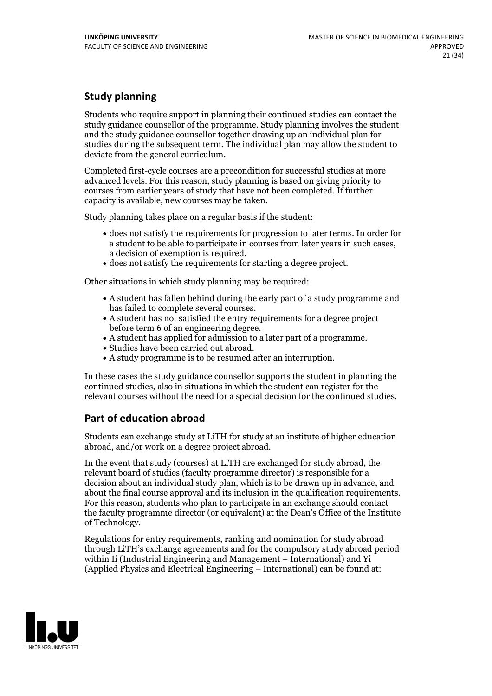## **Study planning**

Students who require support in planning their continued studies can contact the study guidance counsellor of the programme. Study planning involves the student and the study guidance counsellor together drawing up an individual plan for studies during the subsequent term. The individual plan may allow the student to deviate from the general curriculum.

Completed first-cycle courses are a precondition for successful studies at more advanced levels. For this reason, study planning is based on giving priority to courses from earlier years of study that have not been completed. If further capacity is available, new courses may be taken.

Study planning takes place on a regular basis if the student:

- does not satisfy the requirements for progression to later terms. In order for a student to be able to participate in courses from later years in such cases, a decision of exemption is required.<br>
• does not satisfy the requirements for starting a degree project.
- 

Other situations in which study planning may be required:

- A student has fallen behind during the early part of a study programme and has failed to complete several courses.<br>• A student has not satisfied the entry requirements for a degree project
- 
- before term 6 of an engineering degree.<br>• A student has applied for admission to a later part of a programme.<br>• Studies have been carried out abroad.<br>• A study programme is to be resumed after an interruption.
- 
- 

In these cases the study guidance counsellor supports the student in planning the continued studies, also in situations in which the student can register for the relevant courses without the need for a special decision for the continued studies.

## **Part of education abroad**

Students can exchange study at LiTH for study at an institute of higher education abroad, and/or work on a degree project abroad.

In the event that study (courses) at LiTH are exchanged for study abroad, the relevant board of studies (faculty programme director) is responsible for a decision about an individual study plan, which is to be drawn up in advance, and about the final course approval and its inclusion in the qualification requirements. For this reason, students who plan to participate in an exchange should contact the faculty programme director (or equivalent) at the Dean's Office ofthe Institute of Technology.

Regulations for entry requirements, ranking and nomination for study abroad through LiTH's exchange agreements and for the compulsory study abroad period within Ii (Industrial Engineering and Management – International) and Yi (Applied Physics and Electrical Engineering – International) can be found at:

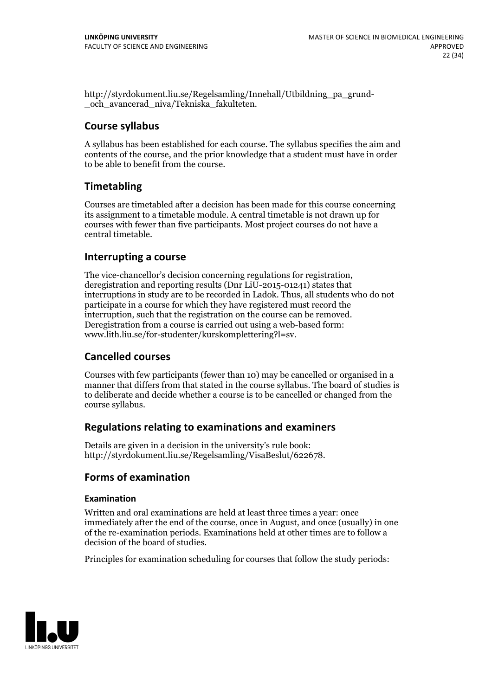http://styrdokument.liu.se/Regelsamling/Innehall/Utbildning\_pa\_grund- \_och\_avancerad\_niva/Tekniska\_fakulteten.

#### **Course syllabus**

A syllabus has been established for each course. The syllabus specifies the aim and contents of the course, and the prior knowledge that a student must have in order to be able to benefit from the course.

## **Timetabling**

Courses are timetabled after a decision has been made for this course concerning its assignment to a timetable module. A central timetable is not drawn up for courses with fewer than five participants. Most project courses do not have a central timetable.

#### **Interrupting a course**

The vice-chancellor's decision concerning regulations for registration, deregistration and reporting results (Dnr LiU-2015-01241) states that interruptions in study are to be recorded in Ladok. Thus, all students who do not participate in a course for which they have registered must record the interruption, such that the registration on the course can be removed. Deregistration from <sup>a</sup> course is carried outusing <sup>a</sup> web-based form: www.lith.liu.se/for-studenter/kurskomplettering?l=sv.

#### **Cancelled courses**

Courses with few participants (fewer than 10) may be cancelled or organised in a manner that differs from that stated in the course syllabus. The board of studies is to deliberate and decide whether a course is to be cancelled orchanged from the course syllabus.

#### **Regulations relatingto examinations and examiners**

Details are given in a decision in the university's rule book: http://styrdokument.liu.se/Regelsamling/VisaBeslut/622678.

## **Forms of examination**

#### **Examination**

Written and oral examinations are held at least three times a year: once immediately after the end of the course, once in August, and once (usually) in one of the re-examination periods. Examinations held at other times are to follow a decision of the board of studies.

Principles for examination scheduling for courses that follow the study periods:

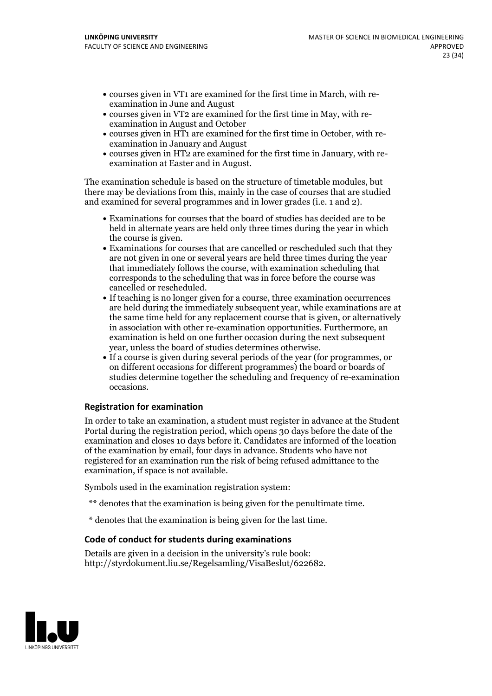- courses given in VT1 are examined for the first time in March, with re-examination in June and August
- courses given in VT2 are examined for the first time in May, with re-examination in August and October
- courses given in HT1 are examined for the first time in October, with re-examination in January and August
- courses given in HT2 are examined for the first time in January, with re-examination at Easter and in August.

The examination schedule is based on the structure of timetable modules, but there may be deviations from this, mainly in the case of courses that are studied and examined for several programmes and in lower grades (i.e. 1 and 2).

- Examinations for courses that the board of studies has decided are to be held in alternate years are held only three times during the year in which the course is given.<br>• Examinations for courses that are cancelled or rescheduled such that they
- are not given in one or several years are held three times during the year that immediately follows the course, with examination scheduling that corresponds to the scheduling that was in force before the course was cancelled or rescheduled.<br>• If teaching is no longer given for a course, three examination occurrences
- are held during the immediately subsequent year, while examinations are at the same time held for any replacement course that is given, or alternatively in association with other re-examination opportunities. Furthermore, an examination is held on one further occasion during the next subsequent
- year, unless the board of studies determines otherwise.<br>If a course is given during several periods of the year (for programmes, or on different occasions for different programmes) the board orboards of studies determine together the scheduling and frequency of re-examination occasions.

#### **Registration for examination**

In order to take an examination, a student must register in advance at the Student Portal during the registration period, which opens 30 days before the date of the examination and closes 10 days before it. Candidates are informed of the location of the examination by email, four days in advance. Students who have not registered for an examination run the risk of being refused admittance to the examination, if space is not available.

Symbols used in the examination registration system:

- \*\* denotes that the examination is being given for the penultimate time.
- \* denotes that the examination is being given for the last time.

#### **Code of conduct for students during examinations**

Details are given in a decision in the university's rule book: http://styrdokument.liu.se/Regelsamling/VisaBeslut/622682.

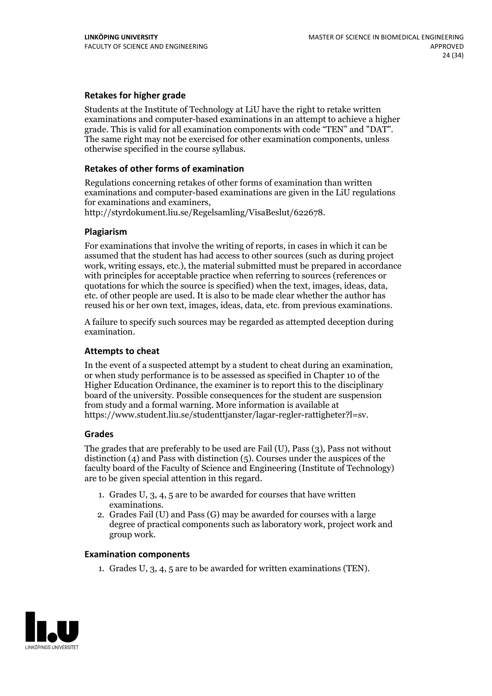#### **Retakes for higher grade**

Students at the Institute of Technology at LiU have the right to retake written examinations and computer-based examinations in an attempt to achieve a higher grade. This is valid for all examination components with code "TEN" and "DAT". The same right may not be exercised for other examination components, unless otherwise specified in the course syllabus.

#### **Retakes of other forms of examination**

Regulations concerning retakes of other forms of examination than written examinations and computer-based examinations are given in the LiU regulations

http://styrdokument.liu.se/Regelsamling/VisaBeslut/622678.

#### **Plagiarism**

For examinations that involve the writing of reports, in cases in which it can be assumed that the student has had access to other sources (such as during project work, writing essays, etc.), the material submitted must be prepared in accordance with principles for acceptable practice when referring to sources (references or quotations for which the source is specified) when the text, images, ideas, data, etc. of other people are used. It is also to be made clear whether the author has reused his or her own text, images, ideas, data, etc. from previous examinations.

A failure to specify such sources may be regarded as attempted deception during examination.

#### **Attempts to cheat**

In the event of <sup>a</sup> suspected attempt by <sup>a</sup> student to cheat during an examination, or when study performance is to be assessed as specified in Chapter <sup>10</sup> of the Higher Education Ordinance, the examiner is to report this to the disciplinary board of the university. Possible consequences for the student are suspension from study and a formal warning. More information is available at https://www.student.liu.se/studenttjanster/lagar-regler-rattigheter?l=sv.

#### **Grades**

The grades that are preferably to be used are Fail (U), Pass (3), Pass not without distinction  $(4)$  and Pass with distinction  $(5)$ . Courses under the auspices of the faculty board of the Faculty of Science and Engineering (Institute of Technology) are to be given special attention in this regard.

- 1. Grades U, 3, 4, 5 are to be awarded for courses that have written examinations. 2. Grades Fail (U) and Pass (G) may be awarded for courses with <sup>a</sup> large
- degree of practical components such as laboratory work, project work and group work.

#### **Examination components**

1. Grades U, 3, 4, 5 are to be awarded for written examinations (TEN).

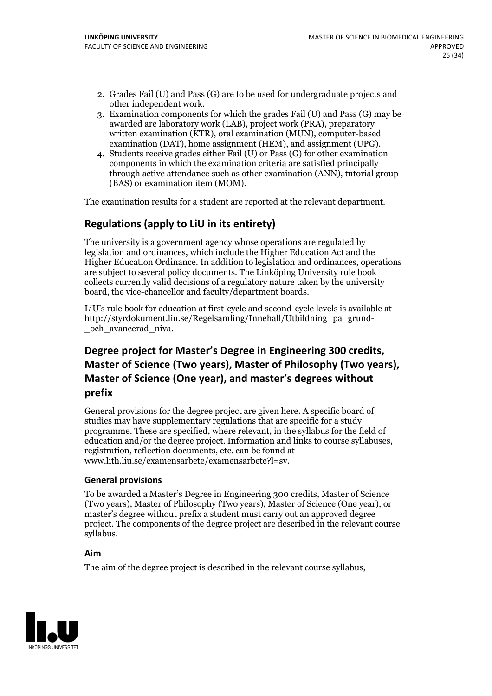- 2. Grades Fail (U) and Pass (G) are to be used for undergraduate projects and
- other independent work. 3. Examination components for which the grades Fail (U) and Pass (G) may be awarded are laboratory work (LAB), project work (PRA), preparatory written examination (KTR), oral examination (MUN), computer-based examination (DAT), home assignment (HEM), and assignment (UPG). 4. Students receive grades either Fail (U) or Pass (G) for other examination
- components in which the examination criteria are satisfied principally through active attendance such as other examination (ANN), tutorial group (BAS) or examination item (MOM).

The examination results for a student are reported at the relevant department.

## **Regulations (applyto LiU in its entirety)**

The university is a government agency whose operations are regulated by legislation and ordinances, which include the Higher Education Act and the Higher Education Ordinance. In addition to legislation and ordinances, operations are subject to several policy documents. The Linköping University rule book collects currently valid decisions of a regulatory nature taken by the university board, the vice-chancellor and faculty/department boards.

LiU's rule book for education at first-cycle and second-cycle levels is available at http://styrdokument.liu.se/Regelsamling/Innehall/Utbildning\_pa\_grund- \_och\_avancerad\_niva.

## Degree project for Master's Degree in Engineering 300 credits,<br>Master of Science (Two years), Master of Philosophy (Two years), **Master ofScience (One year), and master's degrees without prefix**

General provisions for the degree project are given here. A specific board of studies may have supplementary regulations that are specific for a study programme. These are specified, where relevant, in the syllabus for the field of education and/or the degree project. Information and links to course syllabuses, registration, reflection documents, etc. can be found at www.lith.liu.se/examensarbete/examensarbete?l=sv.

#### **General provisions**

To be awarded a Master's Degree in Engineering 300 credits, Master of Science (Two years), Master of Philosophy (Two years), Master of Science (One year), or master's degree without prefix a student must carry out an approved degree project. The components of the degree project are described in the relevant course syllabus.

#### **Aim**

The aim of the degree project is described in the relevant course syllabus,

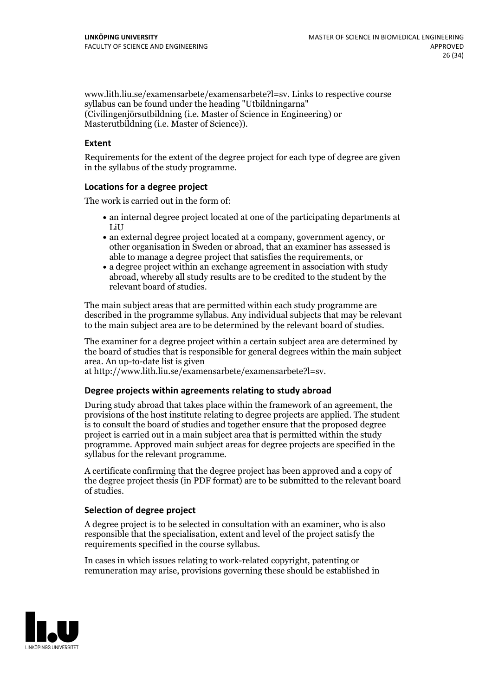www.lith.liu.se/examensarbete/examensarbete?l=sv. Links to respective course syllabus can be found under the heading "Utbildningarna" (Civilingenjörsutbildning (i.e. Master of Science in Engineering) or Masterutbildning (i.e. Master of Science)).

#### **Extent**

Requirements for the extent of the degree project for each type of degree are given in the syllabus of the study programme.

#### **Locations for a degree project**

The work is carried out in the form of:

- an internal degree project located at one of the participating departments at LiU
- an external degree project located at a company, government agency, or other organisation in Sweden or abroad, that an examiner has assessed is able to manage a degree project that satisfies the requirements, or
- a degree project within an exchange agreement in association with study abroad, whereby all study results are to be credited to the student by the relevant board of studies.

The main subject areas that are permitted within each study programme are described in the programme syllabus. Any individual subjects that may be relevant to the main subject area are to be determined by the relevant board of studies.

The examiner for a degree project within a certain subject area are determined by the board of studies that is responsible for general degrees within the main subject area. An up-to-date list is given

at http://www.lith.liu.se/examensarbete/examensarbete?l=sv.

#### **Degree projects within agreements relatingto study abroad**

During study abroad that takes place within the framework of an agreement, the provisions of the host institute relating to degree projects are applied. The student is to consult the board of studies and together ensure that the proposed degree project is carried out in a main subject area that is permitted within the study programme. Approved main subject areas for degree projects are specified in the syllabus for the relevant programme.

A certificate confirming that the degree project has been approved and a copy of the degree project thesis (in PDF format) are to be submitted to the relevant board of studies.

#### **Selection of degree project**

A degree project is to be selected in consultation with an examiner, who is also responsible that the specialisation, extent and level of the project satisfy the requirements specified in the course syllabus.

In cases in which issues relating to work-related copyright, patenting or remuneration may arise, provisions governing these should be established in

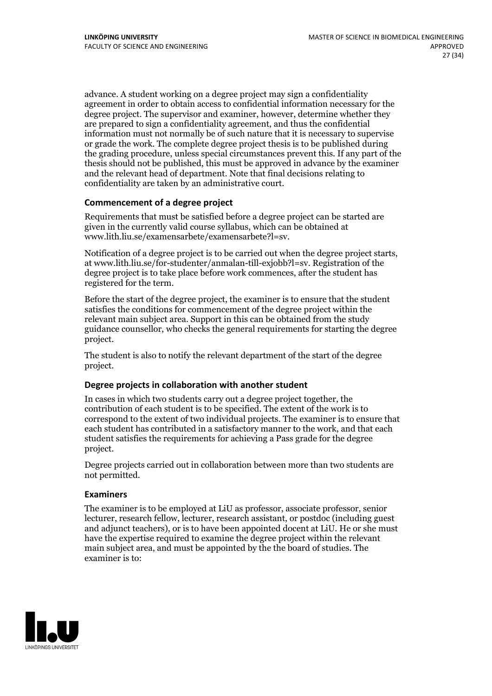advance. A student working on a degree project may sign a confidentiality agreement in order to obtain access to confidential information necessary for the degree project. The supervisor and examiner, however, determine whether they are prepared to sign a confidentiality agreement, and thus the confidential information must not normally be of such nature that it is necessary to supervise or grade the work. The complete degree project thesis is to be published during the grading procedure, unless special circumstances prevent this. If any part of the thesis should not be published, this must be approved in advance by the examiner and the relevant head of department. Note that final decisions relating to confidentiality are taken by an administrative court.

#### **Commencement of a degree project**

Requirements that must be satisfied before a degree project can be started are given in the currently valid course syllabus, which can be obtained at www.lith.liu.se/examensarbete/examensarbete?l=sv.

Notification of <sup>a</sup> degree project is to be carried outwhen the degree project starts, at www.lith.liu.se/for-studenter/anmalan-till-exjobb?l=sv. Registration of the degree project is to take place before work commences, after the student has registered for the term.

Before the start of the degree project, the examiner is to ensure that the student satisfies the conditions for commencement of the degree project within the relevant main subject area. Support in this can be obtained from the study guidance counsellor, who checks the general requirements for starting the degree project.

The student is also to notify the relevant department of the start of the degree project.

#### **Degree projects in collaboration with another student**

In cases in which two students carry out a degree project together, the contribution of each student is to be specified. The extent of the work is to correspond to the extent of two individual projects. The examiner is to ensure that each student has contributed in a satisfactory manner to the work, and that each student satisfies the requirements for achieving a Pass grade for the degree project.

Degree projects carried out in collaboration between more than two students are not permitted.

#### **Examiners**

The examiner is to be employed at LiU as professor, associate professor, senior lecturer, research fellow, lecturer, research assistant, or postdoc (including guest and adjunct teachers), or is to have been appointed docent at LiU. He or she must have the expertise required to examine the degree project within the relevant main subject area, and must be appointed by the the board of studies. The examiner is to:

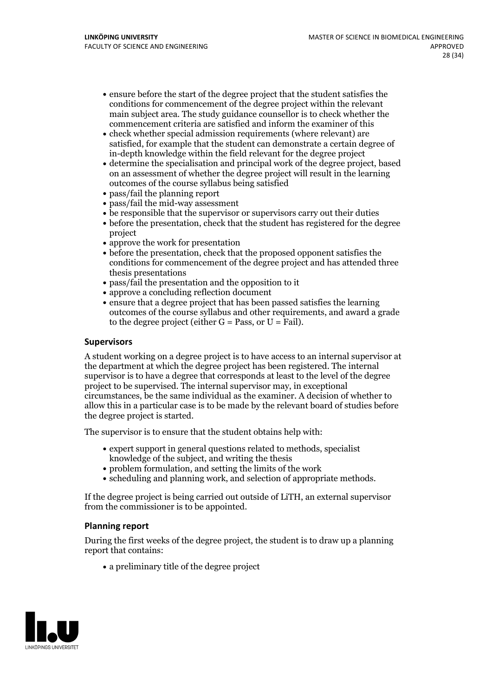- ensure before the start of the degree project that the student satisfies the conditions for commencement of the degree project within the relevant main subject area. The study guidance counsellor is to check whether the commencement criteria are satisfied and inform the examiner of this
- check whether special admission requirements (where relevant) are satisfied, for example that the student can demonstrate a certain degree of in-depth knowledge within the field relevant for the degree project
- determine the specialisation and principal work of the degree project, based on an assessment of whether the degree project will result in the learning outcomes of the course syllabus being satisfied
- pass/fail the planning report
- pass/fail the mid-way assessment
- be responsible that the supervisor or supervisors carry out their duties
- before the presentation, check that the student has registered for the degree project
- approve the work for presentation
- before the presentation, check that the proposed opponent satisfies the conditions for commencement of the degree project and has attended three thesis presentations
- pass/fail the presentation and the opposition to it
- approve a concluding reflection document
- ensure that a degree project that has been passed satisfies the learning outcomes of the course syllabus and other requirements, and award a grade to the degree project (either  $G = Pass$ , or  $U = Fail$ ).

#### **Supervisors**

A student working on a degree project is to have access to an internal supervisor at the department at which the degree project has been registered. The internal supervisor is to have a degree that corresponds at least to the level of the degree project to be supervised. The internal supervisor may, in exceptional circumstances, be the same individual as the examiner. A decision of whether to allow this in a particular case is to be made by the relevant board of studies before the degree project is started.

The supervisor is to ensure that the student obtains help with:

- expert support in general questions related to methods, specialist knowledge of the subject, and writing the thesis
- problem formulation, and setting the limits of the work
- scheduling and planning work, and selection of appropriate methods.

If the degree project is being carried out outside of LiTH, an external supervisor from the commissioner is to be appointed.

#### **Planning report**

During the first weeks of the degree project, the student is to draw up a planning report that contains:

 $\bullet$  a preliminary title of the degree project

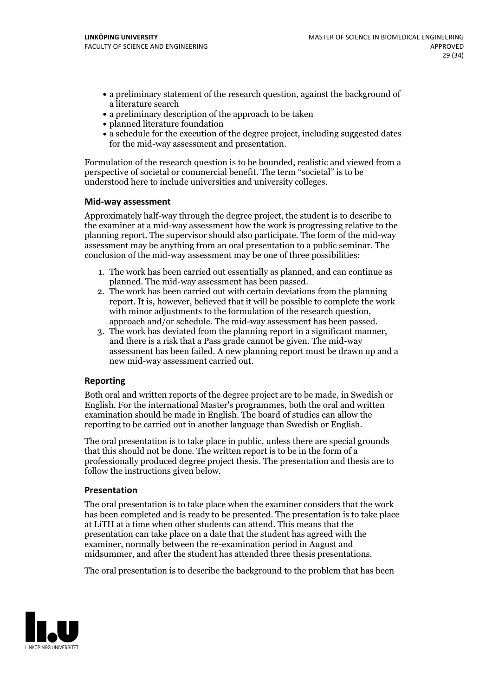- a preliminary statement of the research question, against the background of a literature search
- a preliminary description of the approach to be taken
- planned literature foundation
- a schedule for the execution of the degree project, including suggested dates for the mid-way assessment and presentation.

Formulation of the research question is to be bounded, realistic and viewed from a perspective of societal or commercial benefit. The term "societal" is to be understood here to include universities and university colleges.

#### **Mid-way assessment**

Approximately half-way through the degree project, the student is to describe to the examiner at a mid-way assessment how the work is progressing relative to the planning report. The supervisor should also participate. The form of the mid-way assessment may be anything from an oral presentation to a public seminar. The conclusion of the mid-way assessment may be one of three possibilities:

- 1. The work has been carried out essentially as planned, and can continue as
- planned. The mid-way assessment has been passed. 2. The work has been carried outwith certain deviations from the planning report. It is, however, believed that it will be possible to complete the work
- approach and/or schedule. The mid-way assessment has been passed.<br>3. The work has deviated from the planning report in a significant manner, and there is a risk that a Pass grade cannot be given. The mid-way assessment has been failed. A new planning report must be drawn up and a new mid-way assessment carried out.

#### **Reporting**

Both oral and written reports of the degree project are to be made, in Swedish or English. For the international Master's programmes, both the oral and written examination should be made in English. The board of studies can allow the reporting to be carried out in another language than Swedish or English.

The oral presentation is to take place in public, unless there are special grounds that this should not be done. The written report is to be in the form of a professionally produced degree project thesis. The presentation and thesis are to follow the instructions given below.

#### **Presentation**

The oral presentation is to take place when the examiner considers that the work has been completed and is ready to be presented. The presentation is to take place at LiTH at a time when other students can attend. This means that the presentation can take place on a date that the student has agreed with the examiner, normally between the re-examination period in August and midsummer, and after the student has attended three thesis presentations.

The oral presentation is to describe the background to the problem that has been

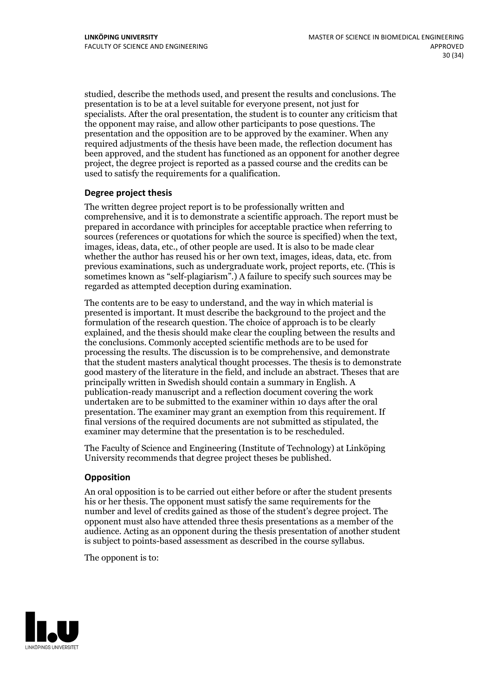studied, describe the methods used, and present the results and conclusions. The presentation is to be at a level suitable for everyone present, not just for specialists. After the oral presentation, the student is to counter any criticism that the opponent may raise, and allow other participants to pose questions. The presentation and the opposition are to be approved by the examiner. When any required adjustments of the thesis have been made, the reflection document has been approved, and the student has functioned as an opponent for another degree project, the degree project is reported as a passed course and the credits can be used to satisfy the requirements for a qualification.

#### **Degree project thesis**

The written degree project report is to be professionally written and comprehensive, and it is to demonstrate a scientific approach. The report must be prepared in accordance with principles for acceptable practice when referring to sources (references or quotations for which the source is specified) when the text, images, ideas, data, etc., of other people are used. It is also to be made clear whether the author has reused his or her own text, images, ideas, data, etc. from previous examinations, such asundergraduate work, project reports, etc. (This is sometimes known as"self-plagiarism".) A failure to specify such sources may be regarded as attempted deception during examination.

The contents are to be easy to understand, and the way in which material is presented is important. It must describe the background to the project and the formulation of the research question. The choice of approach is to be clearly explained, and the thesis should make clear the coupling between the results and the conclusions. Commonly accepted scientific methods are to be used for processing the results. The discussion is to be comprehensive, and demonstrate that the student masters analytical thought processes. The thesis is to demonstrate good mastery of the literature in the field, and include an abstract. Theses that are principally written in Swedish should contain a summary in English. A publication-ready manuscript and a reflection document covering the work undertaken are to be submitted to the examiner within 10 days after the oral presentation. The examiner may grant an exemption from this requirement. If final versions of the required documents are not submitted as stipulated, the examiner may determine that the presentation is to be rescheduled.

The Faculty of Science and Engineering (Institute of Technology) at Linköping University recommends that degree project theses be published.

#### **Opposition**

An oral opposition is to be carried out either before or after the student presents his or her thesis. The opponent must satisfy the same requirements for the number and level of credits gained as those of the student's degree project. The opponent must also have attended three thesis presentations as a member of the audience. Acting as an opponent during the thesis presentation of another student is subject to points-based assessment as described in the course syllabus.

The opponent is to:

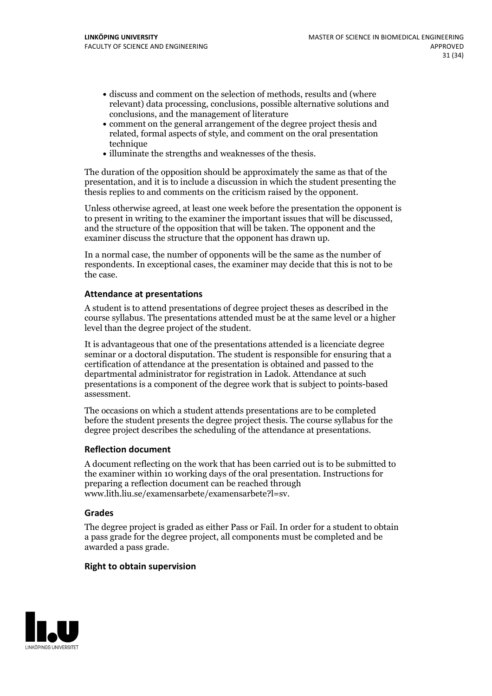- discuss and comment on the selection of methods, results and (where relevant) data processing, conclusions, possible alternative solutions and conclusions, and the management of literature
- comment on the general arrangement of the degree project thesis and related, formal aspects of style, and comment on the oral presentation technique
- illuminate the strengths and weaknesses of the thesis.

The duration of the opposition should be approximately the same as that of the presentation, and it is to include a discussion in which the student presenting the thesis replies to and comments on the criticism raised by the opponent.

Unless otherwise agreed, at least one week before the presentation the opponent is to present in writing to the examiner the important issues that will be discussed, and the structure ofthe opposition that will be taken. The opponent and the examiner discuss the structure that the opponent has drawn up.

In a normal case, the number of opponents will be the same as the number of respondents. In exceptional cases, the examiner may decide that this is not to be the case.

#### **Attendance at presentations**

A student is to attend presentations of degree project theses as described in the course syllabus. The presentations attended must be at the same level or a higher level than the degree project of the student.

It is advantageous that one of the presentations attended is a licenciate degree seminar or a doctoral disputation. The student is responsible for ensuring that a certification of attendance at the presentation is obtained and passed to the departmental administrator for registration in Ladok. Attendance at such presentations is a component of the degree work that is subject to points-based assessment.

The occasions on which a student attends presentations are to be completed before the student presents the degree project thesis. The course syllabus for the degree project describes the scheduling of the attendance at presentations.

#### **Reflection document**

A document reflecting on the work that has been carried outis to be submitted to the examiner within 10 working days of the oral presentation. Instructions for preparing a reflection document can be reached through www.lith.liu.se/examensarbete/examensarbete?l=sv.

#### **Grades**

The degree project is graded as either Pass or Fail. In order for a student to obtain a pass grade for the degree project, all components must be completed and be awarded a pass grade.

#### **Right to obtain supervision**

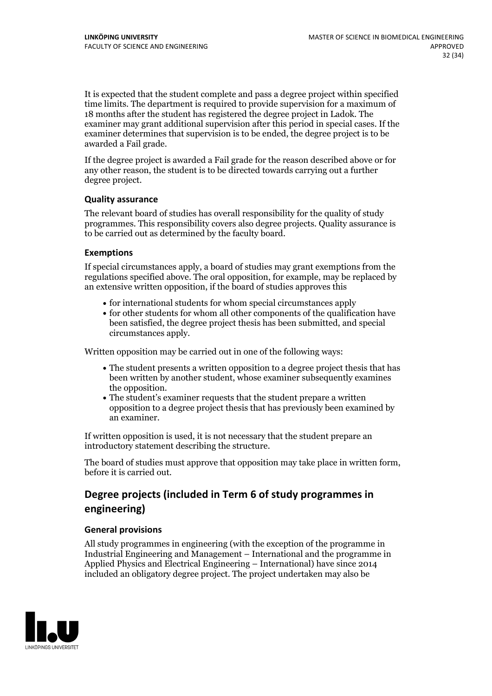It is expected that the student complete and pass a degree project within specified time limits. The department is required to provide supervision for a maximum of 18 months after the student has registered the degree project in Ladok. The examiner may grant additional supervision after this period in special cases. If the examiner determines that supervision is to be ended, the degree project is to be awarded a Fail grade.

If the degree project is awarded a Fail grade for the reason described above or for any other reason, the student is to be directed towards carrying out a further degree project.

#### **Quality assurance**

The relevant board of studies has overall responsibility for the quality of study programmes. This responsibility covers also degree projects. Quality assurance is to be carried out as determined by the faculty board.

#### **Exemptions**

If special circumstances apply, a board of studies may grant exemptions from the regulations specified above. The oral opposition, for example, may be replaced by an extensive written opposition, if the board of studies approves this

- for international students for whom special circumstances apply
- for other students for whom all other components of the qualification have been satisfied, the degree project thesis has been submitted, and special circumstances apply.

Written opposition may be carried out in one of the following ways:

- The student presents a written opposition to a degree project thesis that has been written by another student, whose examiner subsequently examines the opposition.<br>• The student's examiner requests that the student prepare a written
- opposition to a degree project thesis that has previously been examined by an examiner.

If written opposition is used, it is not necessary that the student prepare an introductory statement describing the structure.

The board of studies must approve that opposition may take place in written form, before it is carried out.

## **Degree projects (included in Term 6 of study programmes in engineering)**

#### **General provisions**

All study programmes in engineering (with the exception of the programme in Industrial Engineering and Management – International and the programme in Applied Physics and Electrical Engineering – International) have since 2014 included an obligatory degree project. The project undertaken may also be

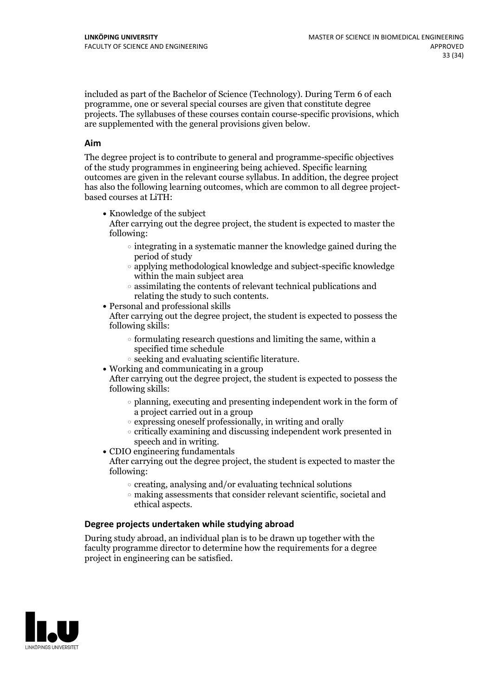included as part of the Bachelor of Science (Technology). During Term 6 of each programme, one or several special courses are given that constitute degree projects. The syllabuses of these courses contain course-specific provisions, which are supplemented with the general provisions given below.

#### **Aim**

The degree project is to contribute to general and programme-specific objectives of the study programmes in engineering being achieved. Specific learning outcomes are given in the relevant course syllabus. In addition, the degree project has also the following learning outcomes, which are common to all degree project- based courses at LiTH:

• Knowledge of the subject

After carrying out the degree project, the student is expected to master the following:

- $\circ$  integrating in a systematic manner the knowledge gained during the period of study
- applying methodological knowledge and subject-specific knowledge within the main subject area
- $\circ$  assimilating the contents of relevant technical publications and relating the study to such contents.<br>• Personal and professional skills
- 

After carrying out the degree project, the student is expected to possess the following skills:

- $\circ$  formulating research questions and limiting the same, within a specified time schedule
- $\circ$  seeking and evaluating scientific literature.<br>• Working and communicating in a group
- 

After carrying out the degree project, the student is expected to possess the following skills:

- $\circ$  planning, executing and presenting independent work in the form of a project carried out in a group
- $\circ$  expressing oneself professionally, in writing and orally
- $\circ$  critically examining and discussing independent work presented in speech and in writing.
- $\bullet$  CDIO engineering fundamentals

After carrying out the degree project, the student is expected to master the following:

- $\circ$  creating, analysing and/or evaluating technical solutions
- making assessments that consider relevant scientific, societal and ethical aspects.

#### **Degree projects undertaken while studying abroad**

During study abroad, an individual plan is to be drawn up together with the faculty programme director to determine how the requirements for a degree project in engineering can be satisfied.